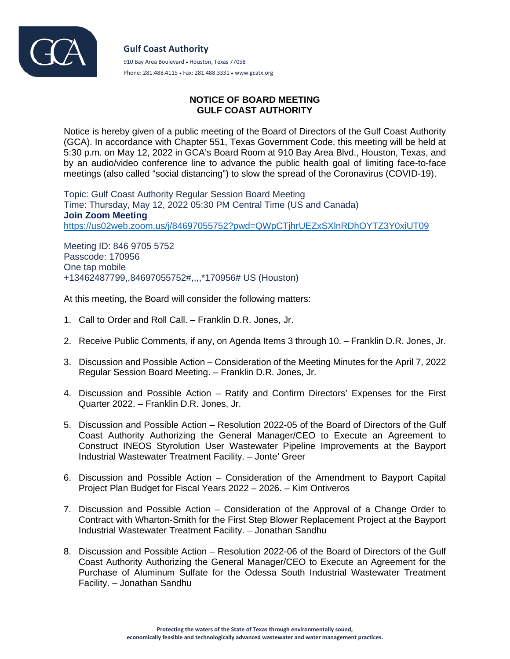

**Gulf Coast Authority** 910 Bay Area Boulevard • Houston, Texas 77058 Phone: 281.488.4115 ● Fax: 281.488.3331 ● www.gcatx.org

## **NOTICE OF BOARD MEETING GULF COAST AUTHORITY**

Notice is hereby given of a public meeting of the Board of Directors of the Gulf Coast Authority (GCA). In accordance with Chapter 551, Texas Government Code, this meeting will be held at 5:30 p.m. on May 12, 2022 in GCA's Board Room at 910 Bay Area Blvd., Houston, Texas, and by an audio/video conference line to advance the public health goal of limiting face-to-face meetings (also called "social distancing") to slow the spread of the Coronavirus (COVID-19).

Topic: Gulf Coast Authority Regular Session Board Meeting Time: Thursday, May 12, 2022 05:30 PM Central Time (US and Canada) **Join Zoom Meeting** <https://us02web.zoom.us/j/84697055752?pwd=QWpCTjhrUEZxSXlnRDhOYTZ3Y0xiUT09>

Meeting ID: 846 9705 5752 Passcode: 170956 One tap mobile +13462487799,,84697055752#,,,,\*170956# US (Houston)

At this meeting, the Board will consider the following matters:

- 1. Call to Order and Roll Call. Franklin D.R. Jones, Jr.
- 2. Receive Public Comments, if any, on Agenda Items 3 through 10. Franklin D.R. Jones, Jr.
- 3. Discussion and Possible Action Consideration of the Meeting Minutes for the April 7, 2022 Regular Session Board Meeting. – Franklin D.R. Jones, Jr.
- 4. Discussion and Possible Action Ratify and Confirm Directors' Expenses for the First Quarter 2022. – Franklin D.R. Jones, Jr.
- 5. Discussion and Possible Action Resolution 2022-05 of the Board of Directors of the Gulf Coast Authority Authorizing the General Manager/CEO to Execute an Agreement to Construct INEOS Styrolution User Wastewater Pipeline Improvements at the Bayport Industrial Wastewater Treatment Facility. – Jonte' Greer
- 6. Discussion and Possible Action Consideration of the Amendment to Bayport Capital Project Plan Budget for Fiscal Years 2022 – 2026. – Kim Ontiveros
- 7. Discussion and Possible Action Consideration of the Approval of a Change Order to Contract with Wharton-Smith for the First Step Blower Replacement Project at the Bayport Industrial Wastewater Treatment Facility. – Jonathan Sandhu
- 8. Discussion and Possible Action Resolution 2022-06 of the Board of Directors of the Gulf Coast Authority Authorizing the General Manager/CEO to Execute an Agreement for the Purchase of Aluminum Sulfate for the Odessa South Industrial Wastewater Treatment Facility. – Jonathan Sandhu